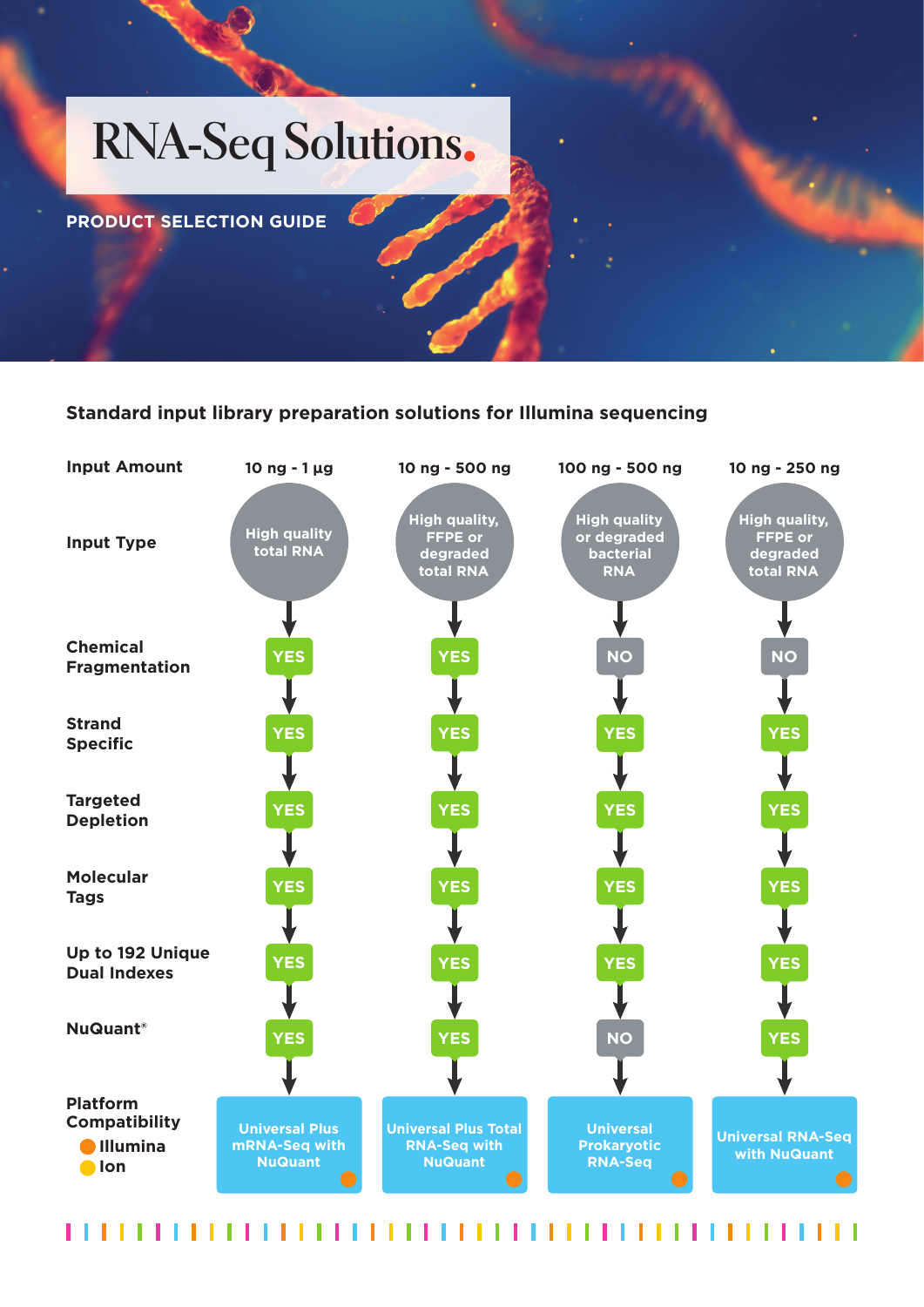# **RNA-Seq Solutions**

**PRODUCT SELECTION GUIDE**

## **Standard input library preparation solutions for Illumina sequencing**